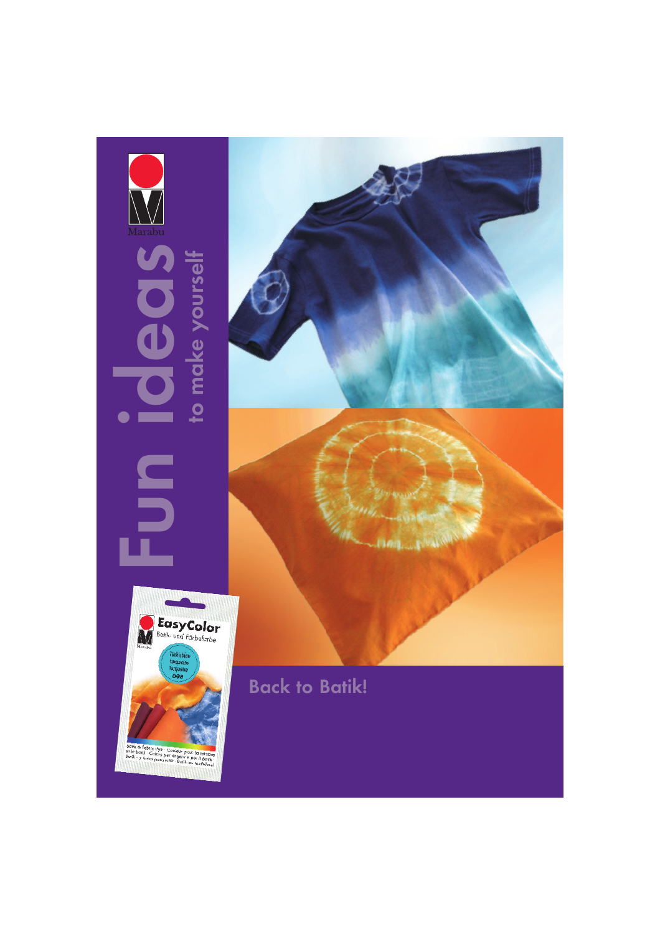

Batik & fabric dye - Couleur pour<br>et le batik - Colore per tingere e p<br>Batik – y tintas para teñir - Batik - et